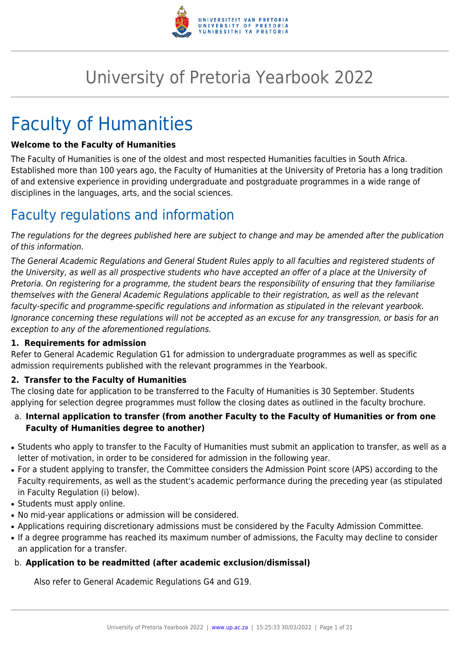

# University of Pretoria Yearbook 2022

# Faculty of Humanities

# **Welcome to the Faculty of Humanities**

The Faculty of Humanities is one of the oldest and most respected Humanities faculties in South Africa. Established more than 100 years ago, the Faculty of Humanities at the University of Pretoria has a long tradition of and extensive experience in providing undergraduate and postgraduate programmes in a wide range of disciplines in the languages, arts, and the social sciences.

# Faculty regulations and information

The regulations for the degrees published here are subject to change and may be amended after the publication of this information.

The General Academic Regulations and General Student Rules apply to all faculties and registered students of the University, as well as all prospective students who have accepted an offer of a place at the University of Pretoria. On registering for a programme, the student bears the responsibility of ensuring that they familiarise themselves with the General Academic Regulations applicable to their registration, as well as the relevant faculty-specific and programme-specific regulations and information as stipulated in the relevant yearbook. Ignorance concerning these regulations will not be accepted as an excuse for any transgression, or basis for an exception to any of the aforementioned regulations.

# **1. Requirements for admission**

Refer to General Academic Regulation G1 for admission to undergraduate programmes as well as specific admission requirements published with the relevant programmes in the Yearbook.

# **2. Transfer to the Faculty of Humanities**

The closing date for application to be transferred to the Faculty of Humanities is 30 September. Students applying for selection degree programmes must follow the closing dates as outlined in the faculty brochure.

# a. **Internal application to transfer (from another Faculty to the Faculty of Humanities or from one Faculty of Humanities degree to another)**

- Students who apply to transfer to the Faculty of Humanities must submit an application to transfer, as well as a letter of motivation, in order to be considered for admission in the following year.
- For a student applying to transfer, the Committee considers the Admission Point score (APS) according to the Faculty requirements, as well as the student's academic performance during the preceding year (as stipulated in Faculty Regulation (i) below).
- Students must apply online.
- No mid-year applications or admission will be considered.
- Applications requiring discretionary admissions must be considered by the Faculty Admission Committee.
- If a degree programme has reached its maximum number of admissions, the Faculty may decline to consider an application for a transfer.

# b. **Application to be readmitted (after academic exclusion/dismissal)**

Also refer to General Academic Regulations G4 and G19.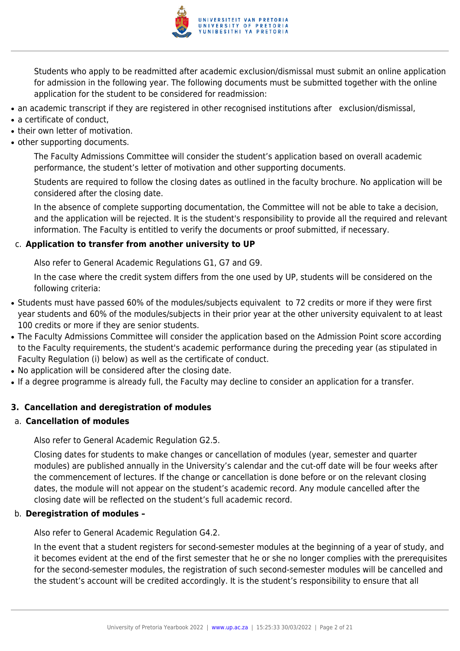

Students who apply to be readmitted after academic exclusion/dismissal must submit an online application for admission in the following year. The following documents must be submitted together with the online application for the student to be considered for readmission:

- an academic transcript if they are registered in other recognised institutions after exclusion/dismissal,
- $\bullet$  a certificate of conduct.
- their own letter of motivation.
- other supporting documents.

The Faculty Admissions Committee will consider the student's application based on overall academic performance, the student's letter of motivation and other supporting documents.

Students are required to follow the closing dates as outlined in the faculty brochure. No application will be considered after the closing date.

In the absence of complete supporting documentation, the Committee will not be able to take a decision, and the application will be rejected. It is the student's responsibility to provide all the required and relevant information. The Faculty is entitled to verify the documents or proof submitted, if necessary.

#### c. **Application to transfer from another university to UP**

Also refer to General Academic Regulations G1, G7 and G9.

In the case where the credit system differs from the one used by UP, students will be considered on the following criteria:

- Students must have passed 60% of the modules/subjects equivalent to 72 credits or more if they were first year students and 60% of the modules/subjects in their prior year at the other university equivalent to at least 100 credits or more if they are senior students.
- The Faculty Admissions Committee will consider the application based on the Admission Point score according to the Faculty requirements, the student's academic performance during the preceding year (as stipulated in Faculty Regulation (i) below) as well as the certificate of conduct.
- No application will be considered after the closing date.
- If a degree programme is already full, the Faculty may decline to consider an application for a transfer.

# **3. Cancellation and deregistration of modules**

#### a. **Cancellation of modules**

Also refer to General Academic Regulation G2.5.

Closing dates for students to make changes or cancellation of modules (year, semester and quarter modules) are published annually in the University's calendar and the cut-off date will be four weeks after the commencement of lectures. If the change or cancellation is done before or on the relevant closing dates, the module will not appear on the student's academic record. Any module cancelled after the closing date will be reflected on the student's full academic record.

#### b. **Deregistration of modules –**

Also refer to General Academic Regulation G4.2.

In the event that a student registers for second-semester modules at the beginning of a year of study, and it becomes evident at the end of the first semester that he or she no longer complies with the prerequisites for the second-semester modules, the registration of such second-semester modules will be cancelled and the student's account will be credited accordingly. It is the student's responsibility to ensure that all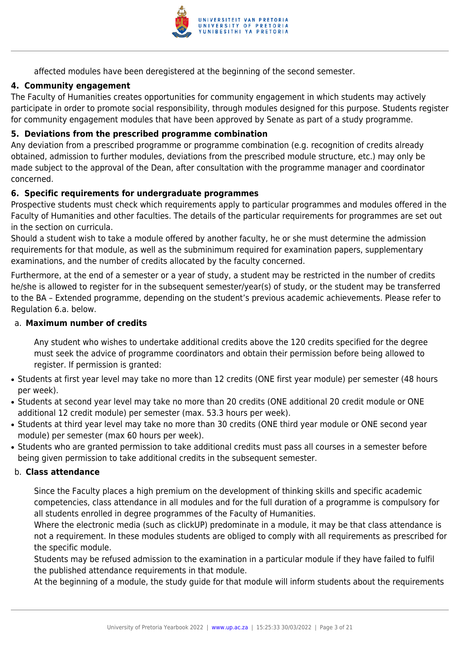

affected modules have been deregistered at the beginning of the second semester.

# **4. Community engagement**

The Faculty of Humanities creates opportunities for community engagement in which students may actively participate in order to promote social responsibility, through modules designed for this purpose. Students register for community engagement modules that have been approved by Senate as part of a study programme.

# **5. Deviations from the prescribed programme combination**

Any deviation from a prescribed programme or programme combination (e.g. recognition of credits already obtained, admission to further modules, deviations from the prescribed module structure, etc.) may only be made subject to the approval of the Dean, after consultation with the programme manager and coordinator concerned.

# **6. Specific requirements for undergraduate programmes**

Prospective students must check which requirements apply to particular programmes and modules offered in the Faculty of Humanities and other faculties. The details of the particular requirements for programmes are set out in the section on curricula.

Should a student wish to take a module offered by another faculty, he or she must determine the admission requirements for that module, as well as the subminimum required for examination papers, supplementary examinations, and the number of credits allocated by the faculty concerned.

Furthermore, at the end of a semester or a year of study, a student may be restricted in the number of credits he/she is allowed to register for in the subsequent semester/year(s) of study, or the student may be transferred to the BA – Extended programme, depending on the student's previous academic achievements. Please refer to Regulation 6.a. below.

# a. **Maximum number of credits**

Any student who wishes to undertake additional credits above the 120 credits specified for the degree must seek the advice of programme coordinators and obtain their permission before being allowed to register. If permission is granted:

- Students at first year level may take no more than 12 credits (ONE first year module) per semester (48 hours per week).
- Students at second year level may take no more than 20 credits (ONE additional 20 credit module or ONE additional 12 credit module) per semester (max. 53.3 hours per week).
- Students at third year level may take no more than 30 credits (ONE third year module or ONE second year module) per semester (max 60 hours per week).
- Students who are granted permission to take additional credits must pass all courses in a semester before being given permission to take additional credits in the subsequent semester.

# b. **Class attendance**

Since the Faculty places a high premium on the development of thinking skills and specific academic competencies, class attendance in all modules and for the full duration of a programme is compulsory for all students enrolled in degree programmes of the Faculty of Humanities.

Where the electronic media (such as clickUP) predominate in a module, it may be that class attendance is not a requirement. In these modules students are obliged to comply with all requirements as prescribed for the specific module.

Students may be refused admission to the examination in a particular module if they have failed to fulfil the published attendance requirements in that module.

At the beginning of a module, the study guide for that module will inform students about the requirements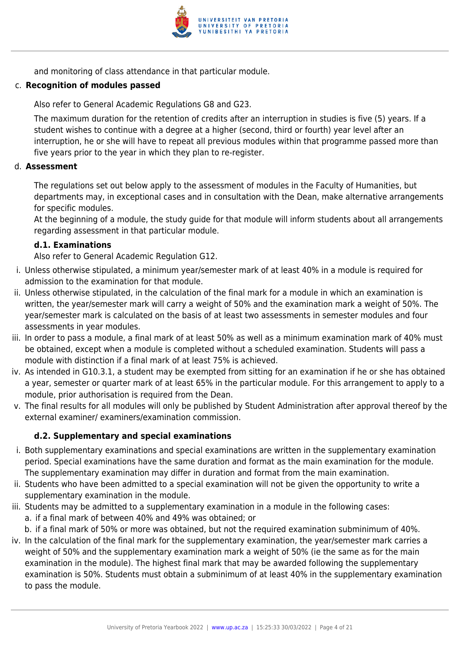

and monitoring of class attendance in that particular module.

# c. **Recognition of modules passed**

Also refer to General Academic Regulations G8 and G23.

The maximum duration for the retention of credits after an interruption in studies is five (5) years. If a student wishes to continue with a degree at a higher (second, third or fourth) year level after an interruption, he or she will have to repeat all previous modules within that programme passed more than five years prior to the year in which they plan to re-register.

#### d. **Assessment**

The regulations set out below apply to the assessment of modules in the Faculty of Humanities, but departments may, in exceptional cases and in consultation with the Dean, make alternative arrangements for specific modules.

At the beginning of a module, the study guide for that module will inform students about all arrangements regarding assessment in that particular module.

#### **d.1. Examinations**

Also refer to General Academic Regulation G12.

- i. Unless otherwise stipulated, a minimum year/semester mark of at least 40% in a module is required for admission to the examination for that module.
- ii. Unless otherwise stipulated, in the calculation of the final mark for a module in which an examination is written, the year/semester mark will carry a weight of 50% and the examination mark a weight of 50%. The year/semester mark is calculated on the basis of at least two assessments in semester modules and four assessments in year modules.
- iii. In order to pass a module, a final mark of at least 50% as well as a minimum examination mark of 40% must be obtained, except when a module is completed without a scheduled examination. Students will pass a module with distinction if a final mark of at least 75% is achieved.
- iv. As intended in G10.3.1, a student may be exempted from sitting for an examination if he or she has obtained a year, semester or quarter mark of at least 65% in the particular module. For this arrangement to apply to a module, prior authorisation is required from the Dean.
- v. The final results for all modules will only be published by Student Administration after approval thereof by the external examiner/ examiners/examination commission.

# **d.2. Supplementary and special examinations**

- i. Both supplementary examinations and special examinations are written in the supplementary examination period. Special examinations have the same duration and format as the main examination for the module. The supplementary examination may differ in duration and format from the main examination.
- ii. Students who have been admitted to a special examination will not be given the opportunity to write a supplementary examination in the module.
- iii. Students may be admitted to a supplementary examination in a module in the following cases:
	- a. if a final mark of between 40% and 49% was obtained; or
	- b. if a final mark of 50% or more was obtained, but not the required examination subminimum of 40%.
- iv. In the calculation of the final mark for the supplementary examination, the year/semester mark carries a weight of 50% and the supplementary examination mark a weight of 50% (ie the same as for the main examination in the module). The highest final mark that may be awarded following the supplementary examination is 50%. Students must obtain a subminimum of at least 40% in the supplementary examination to pass the module.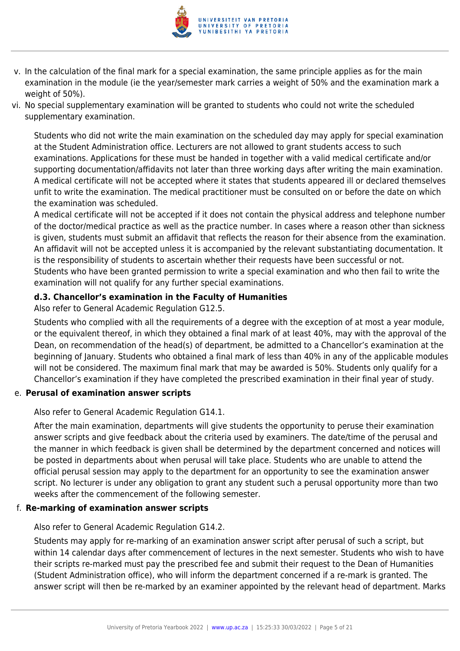

- v. In the calculation of the final mark for a special examination, the same principle applies as for the main examination in the module (ie the year/semester mark carries a weight of 50% and the examination mark a weight of 50%).
- vi. No special supplementary examination will be granted to students who could not write the scheduled supplementary examination.

Students who did not write the main examination on the scheduled day may apply for special examination at the Student Administration office. Lecturers are not allowed to grant students access to such examinations. Applications for these must be handed in together with a valid medical certificate and/or supporting documentation/affidavits not later than three working days after writing the main examination. A medical certificate will not be accepted where it states that students appeared ill or declared themselves unfit to write the examination. The medical practitioner must be consulted on or before the date on which the examination was scheduled.

A medical certificate will not be accepted if it does not contain the physical address and telephone number of the doctor/medical practice as well as the practice number. In cases where a reason other than sickness is given, students must submit an affidavit that reflects the reason for their absence from the examination. An affidavit will not be accepted unless it is accompanied by the relevant substantiating documentation. It is the responsibility of students to ascertain whether their requests have been successful or not. Students who have been granted permission to write a special examination and who then fail to write the examination will not qualify for any further special examinations.

# **d.3. Chancellor's examination in the Faculty of Humanities**

Also refer to General Academic Regulation G12.5.

Students who complied with all the requirements of a degree with the exception of at most a year module, or the equivalent thereof, in which they obtained a final mark of at least 40%, may with the approval of the Dean, on recommendation of the head(s) of department, be admitted to a Chancellor's examination at the beginning of January. Students who obtained a final mark of less than 40% in any of the applicable modules will not be considered. The maximum final mark that may be awarded is 50%. Students only qualify for a Chancellor's examination if they have completed the prescribed examination in their final year of study.

# e. **Perusal of examination answer scripts**

Also refer to General Academic Regulation G14.1.

After the main examination, departments will give students the opportunity to peruse their examination answer scripts and give feedback about the criteria used by examiners. The date/time of the perusal and the manner in which feedback is given shall be determined by the department concerned and notices will be posted in departments about when perusal will take place. Students who are unable to attend the official perusal session may apply to the department for an opportunity to see the examination answer script. No lecturer is under any obligation to grant any student such a perusal opportunity more than two weeks after the commencement of the following semester.

# f. **Re-marking of examination answer scripts**

Also refer to General Academic Regulation G14.2.

Students may apply for re-marking of an examination answer script after perusal of such a script, but within 14 calendar days after commencement of lectures in the next semester. Students who wish to have their scripts re-marked must pay the prescribed fee and submit their request to the Dean of Humanities (Student Administration office), who will inform the department concerned if a re-mark is granted. The answer script will then be re-marked by an examiner appointed by the relevant head of department. Marks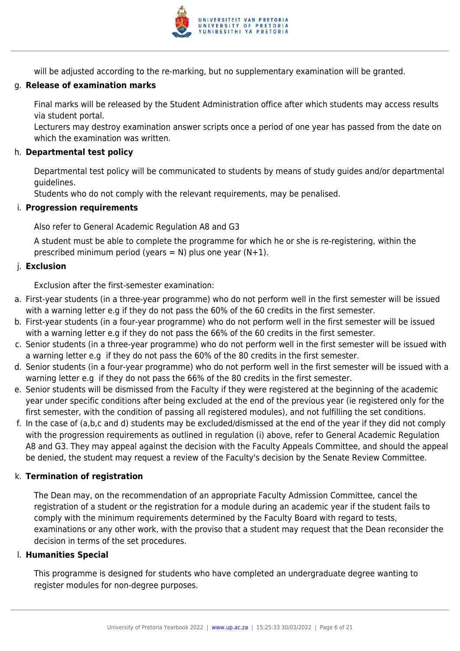

will be adjusted according to the re-marking, but no supplementary examination will be granted.

# g. **Release of examination marks**

Final marks will be released by the Student Administration office after which students may access results via student portal.

Lecturers may destroy examination answer scripts once a period of one year has passed from the date on which the examination was written.

#### h. **Departmental test policy**

Departmental test policy will be communicated to students by means of study guides and/or departmental guidelines.

Students who do not comply with the relevant requirements, may be penalised.

# i. **Progression requirements**

Also refer to General Academic Regulation A8 and G3

A student must be able to complete the programme for which he or she is re-registering, within the prescribed minimum period (years = N) plus one year  $(N+1)$ .

# j. **Exclusion**

Exclusion after the first-semester examination:

- a. First-year students (in a three-year programme) who do not perform well in the first semester will be issued with a warning letter e.g if they do not pass the 60% of the 60 credits in the first semester.
- b. First-year students (in a four-year programme) who do not perform well in the first semester will be issued with a warning letter e.g if they do not pass the 66% of the 60 credits in the first semester.
- c. Senior students (in a three-year programme) who do not perform well in the first semester will be issued with a warning letter e.g if they do not pass the 60% of the 80 credits in the first semester.
- d. Senior students (in a four-year programme) who do not perform well in the first semester will be issued with a warning letter e.g if they do not pass the 66% of the 80 credits in the first semester.
- e. Senior students will be dismissed from the Faculty if they were registered at the beginning of the academic year under specific conditions after being excluded at the end of the previous year (ie registered only for the first semester, with the condition of passing all registered modules), and not fulfilling the set conditions.
- f. In the case of (a,b,c and d) students may be excluded/dismissed at the end of the year if they did not comply with the progression requirements as outlined in regulation (i) above, refer to General Academic Regulation A8 and G3. They may appeal against the decision with the Faculty Appeals Committee, and should the appeal be denied, the student may request a review of the Faculty's decision by the Senate Review Committee.

# k. **Termination of registration**

The Dean may, on the recommendation of an appropriate Faculty Admission Committee, cancel the registration of a student or the registration for a module during an academic year if the student fails to comply with the minimum requirements determined by the Faculty Board with regard to tests, examinations or any other work, with the proviso that a student may request that the Dean reconsider the decision in terms of the set procedures.

# l. **Humanities Special**

This programme is designed for students who have completed an undergraduate degree wanting to register modules for non-degree purposes.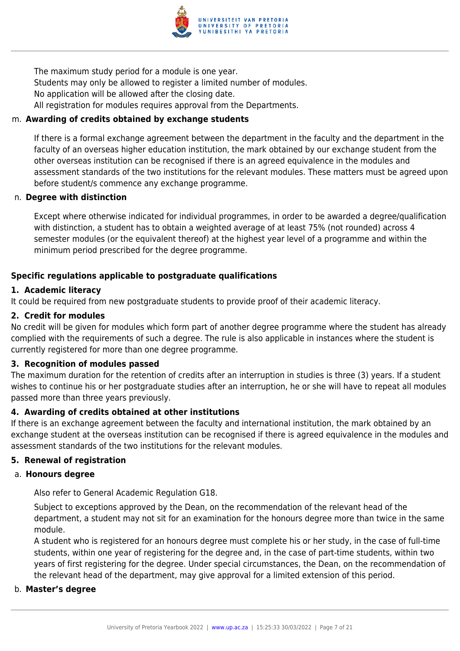

The maximum study period for a module is one year. Students may only be allowed to register a limited number of modules. No application will be allowed after the closing date. All registration for modules requires approval from the Departments.

# m. **Awarding of credits obtained by exchange students**

If there is a formal exchange agreement between the department in the faculty and the department in the faculty of an overseas higher education institution, the mark obtained by our exchange student from the other overseas institution can be recognised if there is an agreed equivalence in the modules and assessment standards of the two institutions for the relevant modules. These matters must be agreed upon before student/s commence any exchange programme.

#### n. **Degree with distinction**

Except where otherwise indicated for individual programmes, in order to be awarded a degree/qualification with distinction, a student has to obtain a weighted average of at least 75% (not rounded) across 4 semester modules (or the equivalent thereof) at the highest year level of a programme and within the minimum period prescribed for the degree programme.

# **Specific regulations applicable to postgraduate qualifications**

# **1. Academic literacy**

It could be required from new postgraduate students to provide proof of their academic literacy.

# **2. Credit for modules**

No credit will be given for modules which form part of another degree programme where the student has already complied with the requirements of such a degree. The rule is also applicable in instances where the student is currently registered for more than one degree programme.

# **3. Recognition of modules passed**

The maximum duration for the retention of credits after an interruption in studies is three (3) years. If a student wishes to continue his or her postgraduate studies after an interruption, he or she will have to repeat all modules passed more than three years previously.

# **4. Awarding of credits obtained at other institutions**

If there is an exchange agreement between the faculty and international institution, the mark obtained by an exchange student at the overseas institution can be recognised if there is agreed equivalence in the modules and assessment standards of the two institutions for the relevant modules.

# **5. Renewal of registration**

#### a. **Honours degree**

Also refer to General Academic Regulation G18.

Subject to exceptions approved by the Dean, on the recommendation of the relevant head of the department, a student may not sit for an examination for the honours degree more than twice in the same module.

A student who is registered for an honours degree must complete his or her study, in the case of full-time students, within one year of registering for the degree and, in the case of part-time students, within two years of first registering for the degree. Under special circumstances, the Dean, on the recommendation of the relevant head of the department, may give approval for a limited extension of this period.

#### b. **Master's degree**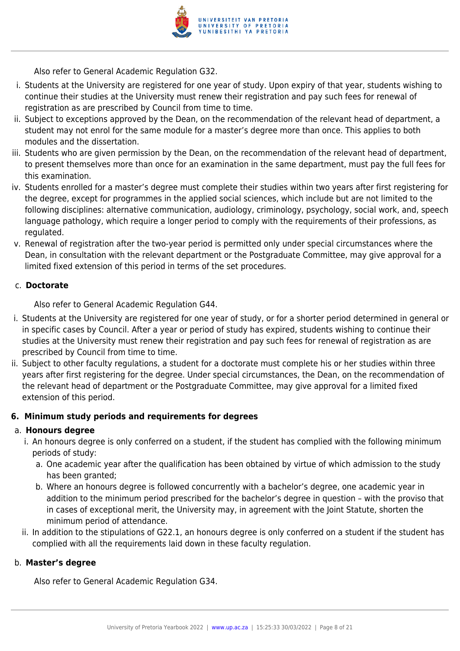

Also refer to General Academic Regulation G32.

- i. Students at the University are registered for one year of study. Upon expiry of that year, students wishing to continue their studies at the University must renew their registration and pay such fees for renewal of registration as are prescribed by Council from time to time.
- ii. Subject to exceptions approved by the Dean, on the recommendation of the relevant head of department, a student may not enrol for the same module for a master's degree more than once. This applies to both modules and the dissertation.
- iii. Students who are given permission by the Dean, on the recommendation of the relevant head of department, to present themselves more than once for an examination in the same department, must pay the full fees for this examination.
- iv. Students enrolled for a master's degree must complete their studies within two years after first registering for the degree, except for programmes in the applied social sciences, which include but are not limited to the following disciplines: alternative communication, audiology, criminology, psychology, social work, and, speech language pathology, which require a longer period to comply with the requirements of their professions, as regulated.
- v. Renewal of registration after the two-year period is permitted only under special circumstances where the Dean, in consultation with the relevant department or the Postgraduate Committee, may give approval for a limited fixed extension of this period in terms of the set procedures.

# c. **Doctorate**

Also refer to General Academic Regulation G44.

- i. Students at the University are registered for one year of study, or for a shorter period determined in general or in specific cases by Council. After a year or period of study has expired, students wishing to continue their studies at the University must renew their registration and pay such fees for renewal of registration as are prescribed by Council from time to time.
- ii. Subject to other faculty regulations, a student for a doctorate must complete his or her studies within three years after first registering for the degree. Under special circumstances, the Dean, on the recommendation of the relevant head of department or the Postgraduate Committee, may give approval for a limited fixed extension of this period.

# **6. Minimum study periods and requirements for degrees**

# a. **Honours degree**

- i. An honours degree is only conferred on a student, if the student has complied with the following minimum periods of study:
	- a. One academic year after the qualification has been obtained by virtue of which admission to the study has been granted;
	- b. Where an honours degree is followed concurrently with a bachelor's degree, one academic year in addition to the minimum period prescribed for the bachelor's degree in question – with the proviso that in cases of exceptional merit, the University may, in agreement with the Joint Statute, shorten the minimum period of attendance.
- ii. In addition to the stipulations of G22.1, an honours degree is only conferred on a student if the student has complied with all the requirements laid down in these faculty regulation.

# b. **Master's degree**

Also refer to General Academic Regulation G34.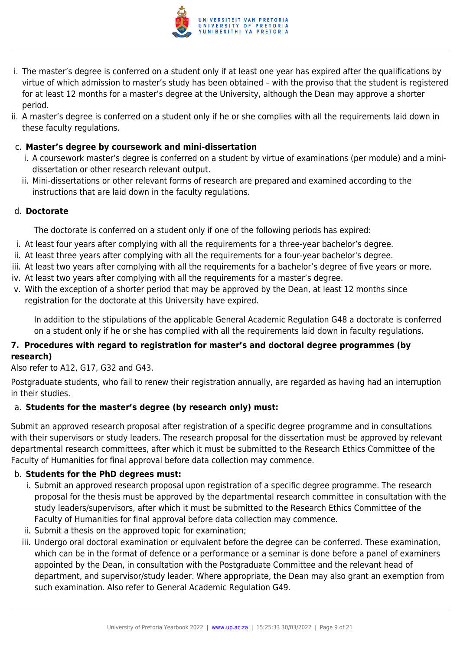

- i. The master's degree is conferred on a student only if at least one year has expired after the qualifications by virtue of which admission to master's study has been obtained – with the proviso that the student is registered for at least 12 months for a master's degree at the University, although the Dean may approve a shorter period.
- ii. A master's degree is conferred on a student only if he or she complies with all the requirements laid down in these faculty regulations.

# c. **Master's degree by coursework and mini-dissertation**

- i. A coursework master's degree is conferred on a student by virtue of examinations (per module) and a minidissertation or other research relevant output.
- ii. Mini-dissertations or other relevant forms of research are prepared and examined according to the instructions that are laid down in the faculty regulations.

# d. **Doctorate**

The doctorate is conferred on a student only if one of the following periods has expired:

- i. At least four years after complying with all the requirements for a three-year bachelor's degree.
- ii. At least three years after complying with all the requirements for a four-year bachelor's degree.
- iii. At least two years after complying with all the requirements for a bachelor's degree of five years or more.
- iv. At least two years after complying with all the requirements for a master's degree.
- v. With the exception of a shorter period that may be approved by the Dean, at least 12 months since registration for the doctorate at this University have expired.

In addition to the stipulations of the applicable General Academic Regulation G48 a doctorate is conferred on a student only if he or she has complied with all the requirements laid down in faculty regulations.

# **7. Procedures with regard to registration for master's and doctoral degree programmes (by research)**

Also refer to A12, G17, G32 and G43.

Postgraduate students, who fail to renew their registration annually, are regarded as having had an interruption in their studies.

# a. **Students for the master's degree (by research only) must:**

Submit an approved research proposal after registration of a specific degree programme and in consultations with their supervisors or study leaders. The research proposal for the dissertation must be approved by relevant departmental research committees, after which it must be submitted to the Research Ethics Committee of the Faculty of Humanities for final approval before data collection may commence.

# b. **Students for the PhD degrees must:**

- i. Submit an approved research proposal upon registration of a specific degree programme. The research proposal for the thesis must be approved by the departmental research committee in consultation with the study leaders/supervisors, after which it must be submitted to the Research Ethics Committee of the Faculty of Humanities for final approval before data collection may commence.
- ii. Submit a thesis on the approved topic for examination;
- iii. Undergo oral doctoral examination or equivalent before the degree can be conferred. These examination, which can be in the format of defence or a performance or a seminar is done before a panel of examiners appointed by the Dean, in consultation with the Postgraduate Committee and the relevant head of department, and supervisor/study leader. Where appropriate, the Dean may also grant an exemption from such examination. Also refer to General Academic Regulation G49.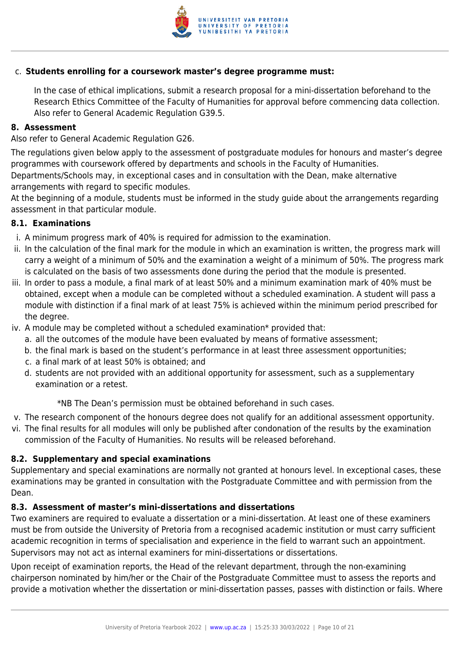

# c. **Students enrolling for a coursework master's degree programme must:**

In the case of ethical implications, submit a research proposal for a mini-dissertation beforehand to the Research Ethics Committee of the Faculty of Humanities for approval before commencing data collection. Also refer to General Academic Regulation G39.5.

#### **8. Assessment**

Also refer to General Academic Regulation G26.

The regulations given below apply to the assessment of postgraduate modules for honours and master's degree programmes with coursework offered by departments and schools in the Faculty of Humanities. Departments/Schools may, in exceptional cases and in consultation with the Dean, make alternative

arrangements with regard to specific modules.

At the beginning of a module, students must be informed in the study guide about the arrangements regarding assessment in that particular module.

#### **8.1. Examinations**

- i. A minimum progress mark of 40% is required for admission to the examination.
- ii. In the calculation of the final mark for the module in which an examination is written, the progress mark will carry a weight of a minimum of 50% and the examination a weight of a minimum of 50%. The progress mark is calculated on the basis of two assessments done during the period that the module is presented.
- iii. In order to pass a module, a final mark of at least 50% and a minimum examination mark of 40% must be obtained, except when a module can be completed without a scheduled examination. A student will pass a module with distinction if a final mark of at least 75% is achieved within the minimum period prescribed for the degree.
- iv. A module may be completed without a scheduled examination\* provided that:
	- a. all the outcomes of the module have been evaluated by means of formative assessment;
	- b. the final mark is based on the student's performance in at least three assessment opportunities;
	- c. a final mark of at least 50% is obtained; and
	- d. students are not provided with an additional opportunity for assessment, such as a supplementary examination or a retest.

\*NB The Dean's permission must be obtained beforehand in such cases.

- v. The research component of the honours degree does not qualify for an additional assessment opportunity.
- vi. The final results for all modules will only be published after condonation of the results by the examination commission of the Faculty of Humanities. No results will be released beforehand.

# **8.2. Supplementary and special examinations**

Supplementary and special examinations are normally not granted at honours level. In exceptional cases, these examinations may be granted in consultation with the Postgraduate Committee and with permission from the Dean.

# **8.3. Assessment of master's mini-dissertations and dissertations**

Two examiners are required to evaluate a dissertation or a mini-dissertation. At least one of these examiners must be from outside the University of Pretoria from a recognised academic institution or must carry sufficient academic recognition in terms of specialisation and experience in the field to warrant such an appointment. Supervisors may not act as internal examiners for mini-dissertations or dissertations.

Upon receipt of examination reports, the Head of the relevant department, through the non-examining chairperson nominated by him/her or the Chair of the Postgraduate Committee must to assess the reports and provide a motivation whether the dissertation or mini-dissertation passes, passes with distinction or fails. Where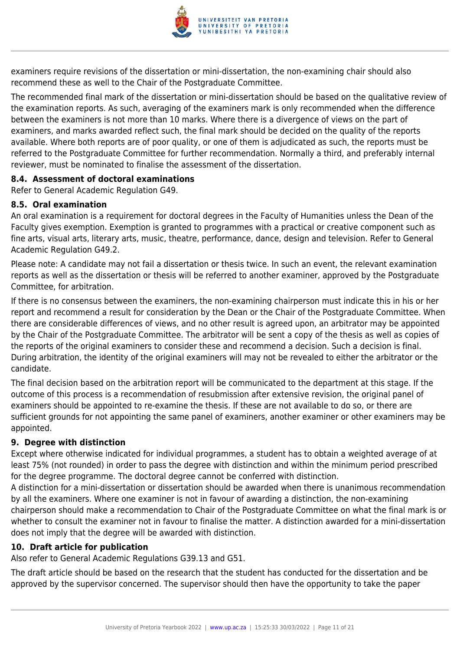

examiners require revisions of the dissertation or mini-dissertation, the non-examining chair should also recommend these as well to the Chair of the Postgraduate Committee.

The recommended final mark of the dissertation or mini-dissertation should be based on the qualitative review of the examination reports. As such, averaging of the examiners mark is only recommended when the difference between the examiners is not more than 10 marks. Where there is a divergence of views on the part of examiners, and marks awarded reflect such, the final mark should be decided on the quality of the reports available. Where both reports are of poor quality, or one of them is adjudicated as such, the reports must be referred to the Postgraduate Committee for further recommendation. Normally a third, and preferably internal reviewer, must be nominated to finalise the assessment of the dissertation.

#### **8.4. Assessment of doctoral examinations**

Refer to General Academic Regulation G49.

# **8.5. Oral examination**

An oral examination is a requirement for doctoral degrees in the Faculty of Humanities unless the Dean of the Faculty gives exemption. Exemption is granted to programmes with a practical or creative component such as fine arts, visual arts, literary arts, music, theatre, performance, dance, design and television. Refer to General Academic Regulation G49.2.

Please note: A candidate may not fail a dissertation or thesis twice. In such an event, the relevant examination reports as well as the dissertation or thesis will be referred to another examiner, approved by the Postgraduate Committee, for arbitration.

If there is no consensus between the examiners, the non-examining chairperson must indicate this in his or her report and recommend a result for consideration by the Dean or the Chair of the Postgraduate Committee. When there are considerable differences of views, and no other result is agreed upon, an arbitrator may be appointed by the Chair of the Postgraduate Committee. The arbitrator will be sent a copy of the thesis as well as copies of the reports of the original examiners to consider these and recommend a decision. Such a decision is final. During arbitration, the identity of the original examiners will may not be revealed to either the arbitrator or the candidate.

The final decision based on the arbitration report will be communicated to the department at this stage. If the outcome of this process is a recommendation of resubmission after extensive revision, the original panel of examiners should be appointed to re-examine the thesis. If these are not available to do so, or there are sufficient grounds for not appointing the same panel of examiners, another examiner or other examiners may be appointed.

# **9. Degree with distinction**

Except where otherwise indicated for individual programmes, a student has to obtain a weighted average of at least 75% (not rounded) in order to pass the degree with distinction and within the minimum period prescribed for the degree programme. The doctoral degree cannot be conferred with distinction.

A distinction for a mini-dissertation or dissertation should be awarded when there is unanimous recommendation by all the examiners. Where one examiner is not in favour of awarding a distinction, the non-examining chairperson should make a recommendation to Chair of the Postgraduate Committee on what the final mark is or whether to consult the examiner not in favour to finalise the matter. A distinction awarded for a mini-dissertation does not imply that the degree will be awarded with distinction.

# **10. Draft article for publication**

Also refer to General Academic Regulations G39.13 and G51.

The draft article should be based on the research that the student has conducted for the dissertation and be approved by the supervisor concerned. The supervisor should then have the opportunity to take the paper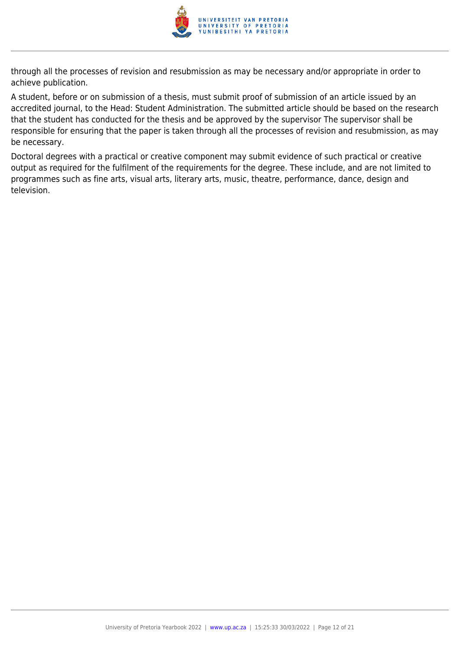

through all the processes of revision and resubmission as may be necessary and/or appropriate in order to achieve publication.

A student, before or on submission of a thesis, must submit proof of submission of an article issued by an accredited journal, to the Head: Student Administration. The submitted article should be based on the research that the student has conducted for the thesis and be approved by the supervisor The supervisor shall be responsible for ensuring that the paper is taken through all the processes of revision and resubmission, as may be necessary.

Doctoral degrees with a practical or creative component may submit evidence of such practical or creative output as required for the fulfilment of the requirements for the degree. These include, and are not limited to programmes such as fine arts, visual arts, literary arts, music, theatre, performance, dance, design and television.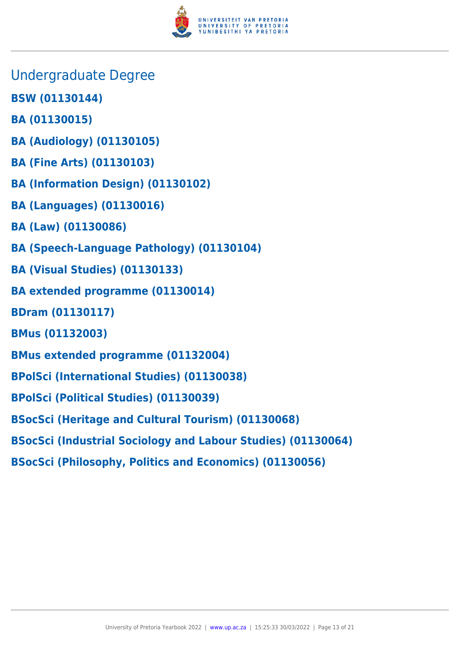

- Undergraduate Degree
- **BSW (01130144)**
- **BA (01130015)**
- **BA (Audiology) (01130105)**
- **BA (Fine Arts) (01130103)**
- **BA (Information Design) (01130102)**
- **BA (Languages) (01130016)**
- **BA (Law) (01130086)**
- **BA (Speech-Language Pathology) (01130104)**
- **BA (Visual Studies) (01130133)**
- **BA extended programme (01130014)**
- **BDram (01130117)**
- **BMus (01132003)**
- **BMus extended programme (01132004)**
- **BPolSci (International Studies) (01130038)**
- **BPolSci (Political Studies) (01130039)**
- **BSocSci (Heritage and Cultural Tourism) (01130068)**
- **BSocSci (Industrial Sociology and Labour Studies) (01130064)**
- **BSocSci (Philosophy, Politics and Economics) (01130056)**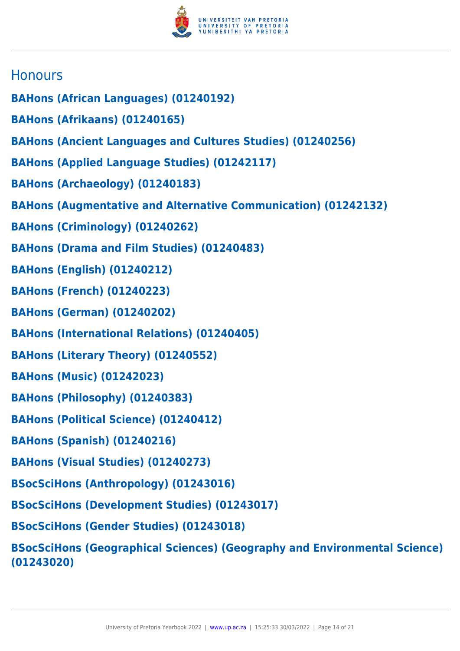

# **Honours**

- **BAHons (African Languages) (01240192)**
- **BAHons (Afrikaans) (01240165)**
- **BAHons (Ancient Languages and Cultures Studies) (01240256)**
- **BAHons (Applied Language Studies) (01242117)**
- **BAHons (Archaeology) (01240183)**
- **BAHons (Augmentative and Alternative Communication) (01242132)**
- **BAHons (Criminology) (01240262)**
- **BAHons (Drama and Film Studies) (01240483)**
- **BAHons (English) (01240212)**
- **BAHons (French) (01240223)**
- **BAHons (German) (01240202)**
- **BAHons (International Relations) (01240405)**
- **BAHons (Literary Theory) (01240552)**
- **BAHons (Music) (01242023)**
- **BAHons (Philosophy) (01240383)**
- **BAHons (Political Science) (01240412)**
- **BAHons (Spanish) (01240216)**
- **BAHons (Visual Studies) (01240273)**
- **BSocSciHons (Anthropology) (01243016)**
- **BSocSciHons (Development Studies) (01243017)**
- **BSocSciHons (Gender Studies) (01243018)**
- **BSocSciHons (Geographical Sciences) (Geography and Environmental Science) (01243020)**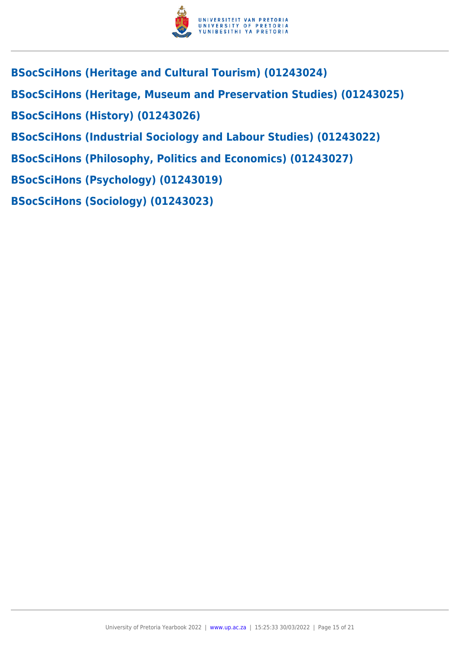

- **BSocSciHons (Heritage and Cultural Tourism) (01243024)**
- **BSocSciHons (Heritage, Museum and Preservation Studies) (01243025)**
- **BSocSciHons (History) (01243026)**
- **BSocSciHons (Industrial Sociology and Labour Studies) (01243022)**
- **BSocSciHons (Philosophy, Politics and Economics) (01243027)**
- **BSocSciHons (Psychology) (01243019)**
- **BSocSciHons (Sociology) (01243023)**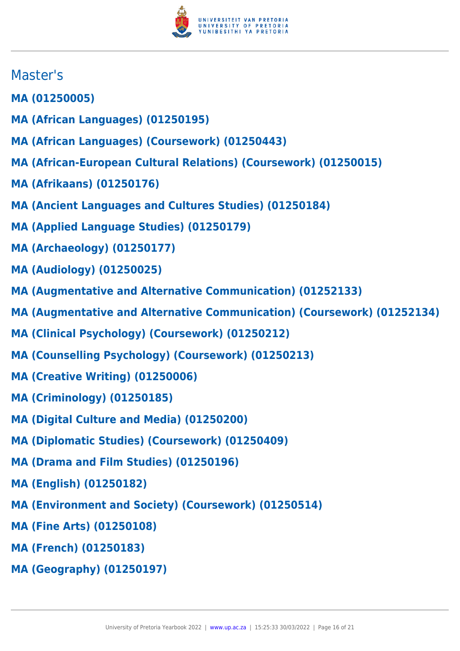

# Master's

- **MA (01250005)**
- **MA (African Languages) (01250195)**
- **MA (African Languages) (Coursework) (01250443)**
- **MA (African-European Cultural Relations) (Coursework) (01250015)**
- **MA (Afrikaans) (01250176)**
- **MA (Ancient Languages and Cultures Studies) (01250184)**
- **MA (Applied Language Studies) (01250179)**
- **MA (Archaeology) (01250177)**
- **MA (Audiology) (01250025)**
- **MA (Augmentative and Alternative Communication) (01252133)**
- **MA (Augmentative and Alternative Communication) (Coursework) (01252134)**
- **MA (Clinical Psychology) (Coursework) (01250212)**
- **MA (Counselling Psychology) (Coursework) (01250213)**
- **MA (Creative Writing) (01250006)**
- **MA (Criminology) (01250185)**
- **MA (Digital Culture and Media) (01250200)**
- **MA (Diplomatic Studies) (Coursework) (01250409)**
- **MA (Drama and Film Studies) (01250196)**
- **MA (English) (01250182)**
- **MA (Environment and Society) (Coursework) (01250514)**
- **MA (Fine Arts) (01250108)**
- **MA (French) (01250183)**
- **MA (Geography) (01250197)**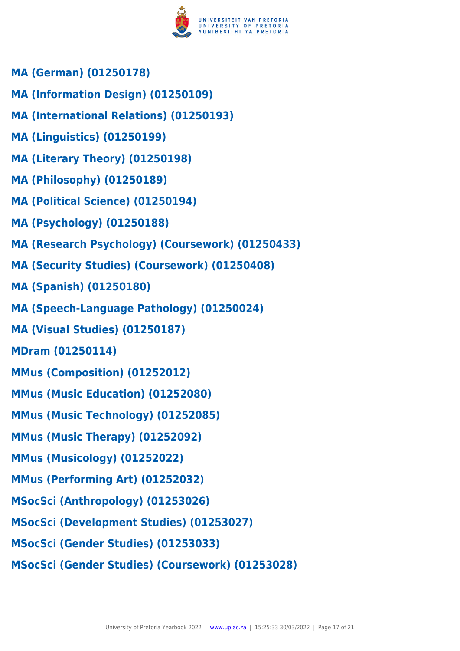

- **MA (German) (01250178)**
- **MA (Information Design) (01250109)**
- **MA (International Relations) (01250193)**
- **MA (Linguistics) (01250199)**
- **MA (Literary Theory) (01250198)**
- **MA (Philosophy) (01250189)**
- **MA (Political Science) (01250194)**
- **MA (Psychology) (01250188)**
- **MA (Research Psychology) (Coursework) (01250433)**
- **MA (Security Studies) (Coursework) (01250408)**
- **MA (Spanish) (01250180)**
- **MA (Speech-Language Pathology) (01250024)**
- **MA (Visual Studies) (01250187)**
- **MDram (01250114)**
- **MMus (Composition) (01252012)**
- **MMus (Music Education) (01252080)**
- **MMus (Music Technology) (01252085)**
- **MMus (Music Therapy) (01252092)**
- **MMus (Musicology) (01252022)**
- **MMus (Performing Art) (01252032)**
- **MSocSci (Anthropology) (01253026)**
- **MSocSci (Development Studies) (01253027)**
- **MSocSci (Gender Studies) (01253033)**
- **MSocSci (Gender Studies) (Coursework) (01253028)**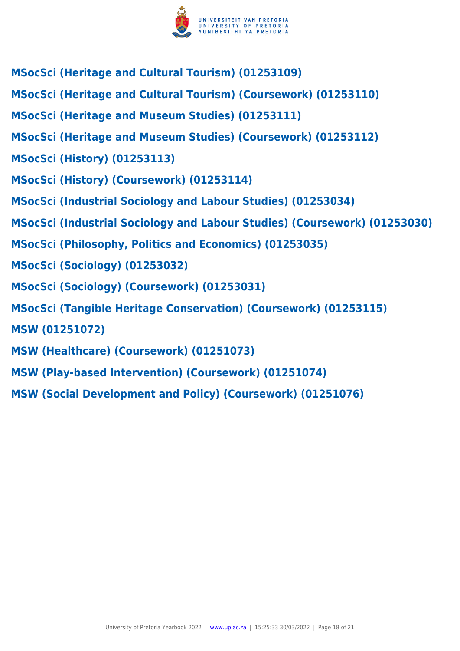

- **MSocSci (Heritage and Cultural Tourism) (01253109)**
- **MSocSci (Heritage and Cultural Tourism) (Coursework) (01253110)**
- **MSocSci (Heritage and Museum Studies) (01253111)**
- **MSocSci (Heritage and Museum Studies) (Coursework) (01253112)**
- **MSocSci (History) (01253113)**
- **MSocSci (History) (Coursework) (01253114)**
- **MSocSci (Industrial Sociology and Labour Studies) (01253034)**
- **MSocSci (Industrial Sociology and Labour Studies) (Coursework) (01253030)**
- **MSocSci (Philosophy, Politics and Economics) (01253035)**
- **MSocSci (Sociology) (01253032)**
- **MSocSci (Sociology) (Coursework) (01253031)**
- **MSocSci (Tangible Heritage Conservation) (Coursework) (01253115)**
- **MSW (01251072)**
- **MSW (Healthcare) (Coursework) (01251073)**
- **MSW (Play-based Intervention) (Coursework) (01251074)**
- **MSW (Social Development and Policy) (Coursework) (01251076)**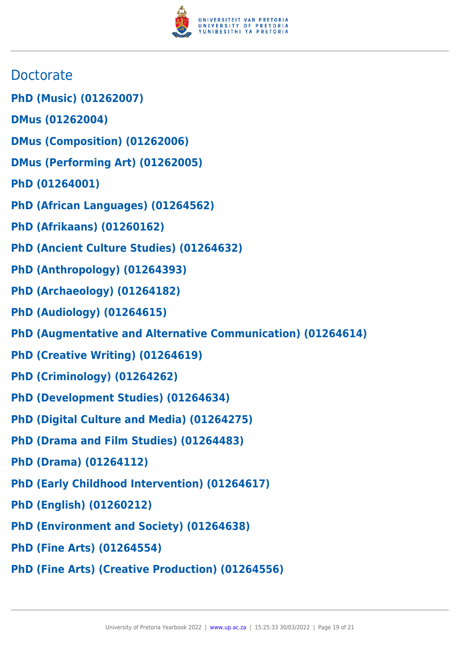

- **Doctorate**
- **PhD (Music) (01262007)**
- **DMus (01262004)**
- **DMus (Composition) (01262006)**
- **DMus (Performing Art) (01262005)**
- **PhD (01264001)**
- **PhD (African Languages) (01264562)**
- **PhD (Afrikaans) (01260162)**
- **PhD (Ancient Culture Studies) (01264632)**
- **PhD (Anthropology) (01264393)**
- **PhD (Archaeology) (01264182)**
- **PhD (Audiology) (01264615)**
- **PhD (Augmentative and Alternative Communication) (01264614)**
- **PhD (Creative Writing) (01264619)**
- **PhD (Criminology) (01264262)**
- **PhD (Development Studies) (01264634)**
- **PhD (Digital Culture and Media) (01264275)**
- **PhD (Drama and Film Studies) (01264483)**
- **PhD (Drama) (01264112)**
- **PhD (Early Childhood Intervention) (01264617)**
- **PhD (English) (01260212)**
- **PhD (Environment and Society) (01264638)**
- **PhD (Fine Arts) (01264554)**
- **PhD (Fine Arts) (Creative Production) (01264556)**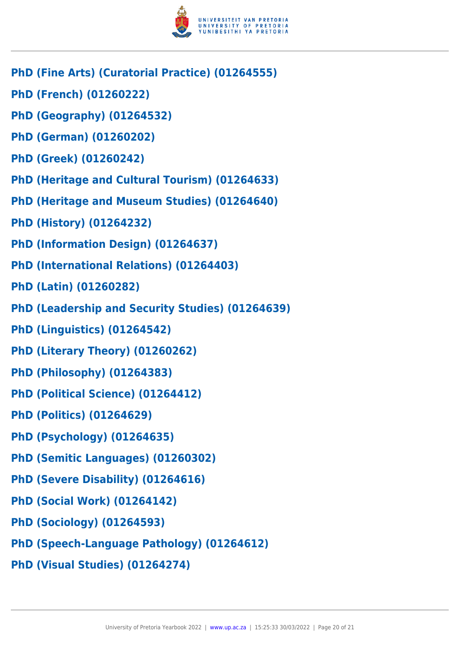

- **PhD (Fine Arts) (Curatorial Practice) (01264555)**
- **PhD (French) (01260222)**
- **PhD (Geography) (01264532)**
- **PhD (German) (01260202)**
- **PhD (Greek) (01260242)**
- **PhD (Heritage and Cultural Tourism) (01264633)**
- **PhD (Heritage and Museum Studies) (01264640)**
- **PhD (History) (01264232)**
- **PhD (Information Design) (01264637)**
- **PhD (International Relations) (01264403)**
- **PhD (Latin) (01260282)**
- **PhD (Leadership and Security Studies) (01264639)**
- **PhD (Linguistics) (01264542)**
- **PhD (Literary Theory) (01260262)**
- **PhD (Philosophy) (01264383)**
- **PhD (Political Science) (01264412)**
- **PhD (Politics) (01264629)**
- **PhD (Psychology) (01264635)**
- **PhD (Semitic Languages) (01260302)**
- **PhD (Severe Disability) (01264616)**
- **PhD (Social Work) (01264142)**
- **PhD (Sociology) (01264593)**
- **PhD (Speech-Language Pathology) (01264612)**
- **PhD (Visual Studies) (01264274)**